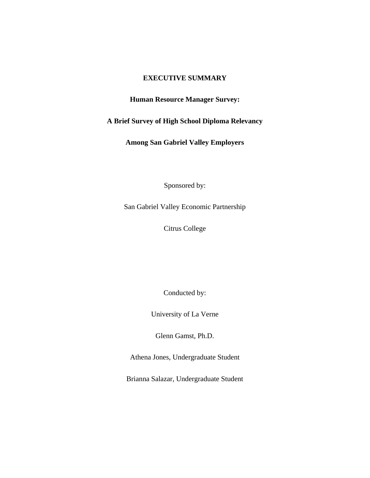### **EXECUTIVE SUMMARY**

## **Human Resource Manager Survey:**

# **A Brief Survey of High School Diploma Relevancy**

**Among San Gabriel Valley Employers** 

Sponsored by:

San Gabriel Valley Economic Partnership

Citrus College

Conducted by:

University of La Verne

Glenn Gamst, Ph.D.

Athena Jones, Undergraduate Student

Brianna Salazar, Undergraduate Student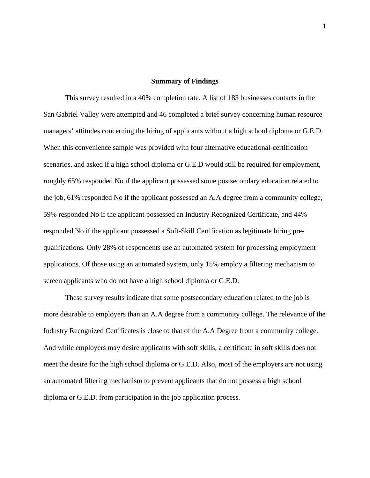#### **Summary of Findings**

 This survey resulted in a 40% completion rate. A list of 183 businesses contacts in the San Gabriel Valley were attempted and 46 completed a brief survey concerning human resource managers' attitudes concerning the hiring of applicants without a high school diploma or G.E.D. When this convenience sample was provided with four alternative educational-certification scenarios, and asked if a high school diploma or G.E.D would still be required for employment, roughly 65% responded No if the applicant possessed some postsecondary education related to the job, 61% responded No if the applicant possessed an A.A degree from a community college, 59% responded No if the applicant possessed an Industry Recognized Certificate, and 44% responded No if the applicant possessed a Soft-Skill Certification as legitimate hiring prequalifications. Only 28% of respondents use an automated system for processing employment applications. Of those using an automated system, only 15% employ a filtering mechanism to screen applicants who do not have a high school diploma or G.E.D.

 These survey results indicate that some postsecondary education related to the job is more desirable to employers than an A.A degree from a community college. The relevance of the Industry Recognized Certificates is close to that of the A.A Degree from a community college. And while employers may desire applicants with soft skills, a certificate in soft skills does not meet the desire for the high school diploma or G.E.D. Also, most of the employers are not using an automated filtering mechanism to prevent applicants that do not possess a high school diploma or G.E.D. from participation in the job application process.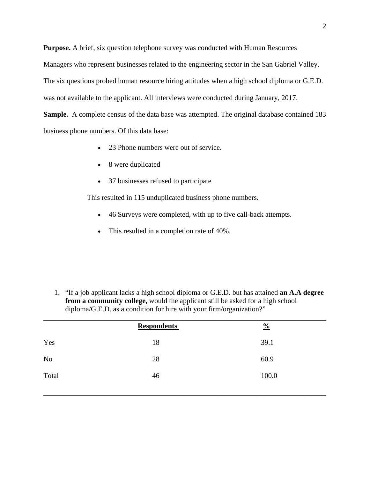**Purpose.** A brief, six question telephone survey was conducted with Human Resources

Managers who represent businesses related to the engineering sector in the San Gabriel Valley.

The six questions probed human resource hiring attitudes when a high school diploma or G.E.D.

was not available to the applicant. All interviews were conducted during January, 2017.

**Sample.** A complete census of the data base was attempted. The original database contained 183 business phone numbers. Of this data base:

- 23 Phone numbers were out of service.
- 8 were duplicated
- 37 businesses refused to participate

This resulted in 115 unduplicated business phone numbers.

- 46 Surveys were completed, with up to five call-back attempts.
- This resulted in a completion rate of 40%.

1. "If a job applicant lacks a high school diploma or G.E.D. but has attained **an A.A degree from a community college,** would the applicant still be asked for a high school diploma/G.E.D. as a condition for hire with your firm/organization?"

|       | <b>Respondents</b> | $\frac{0}{0}$ |
|-------|--------------------|---------------|
| Yes   | 18                 | 39.1          |
| No    | 28                 | 60.9          |
| Total | 46                 | 100.0         |
|       |                    |               |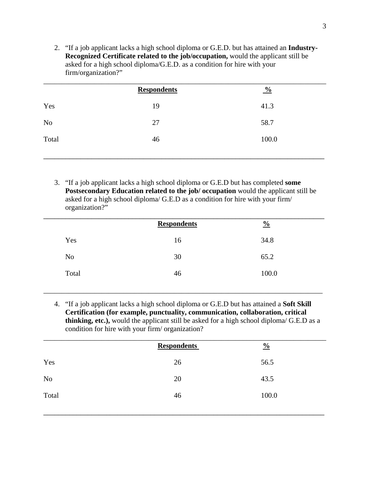2. "If a job applicant lacks a high school diploma or G.E.D. but has attained an **Industry-Recognized Certificate related to the job/occupation,** would the applicant still be asked for a high school diploma/G.E.D. as a condition for hire with your firm/organization?"

| 19 | 41.3  |
|----|-------|
| 27 | 58.7  |
| 46 | 100.0 |
|    |       |

3. "If a job applicant lacks a high school diploma or G.E.D but has completed **some Postsecondary Education related to the job/ occupation** would the applicant still be asked for a high school diploma/ G.E.D as a condition for hire with your firm/ organization?"

|                | <b>Respondents</b> | $\frac{0}{0}$ |  |
|----------------|--------------------|---------------|--|
| Yes            | 16                 | 34.8          |  |
| N <sub>o</sub> | 30                 | 65.2          |  |
| Total          | 46                 | 100.0         |  |
|                |                    |               |  |

4. "If a job applicant lacks a high school diploma or G.E.D but has attained a **Soft Skill Certification (for example, punctuality, communication, collaboration, critical thinking, etc.),** would the applicant still be asked for a high school diploma/ G.E.D as a condition for hire with your firm/ organization?

\_\_\_\_\_\_\_\_\_\_\_\_\_\_\_\_\_\_\_\_\_\_\_\_\_\_\_\_\_\_\_\_\_\_\_\_\_\_\_\_\_\_\_\_\_\_\_\_\_\_\_\_\_\_\_\_\_\_\_\_\_\_\_\_\_\_\_\_\_\_\_\_\_\_\_\_\_

|       | <b>Respondents</b> | $\frac{0}{0}$ |
|-------|--------------------|---------------|
| Yes   | 26                 | 56.5          |
| No    | 20                 | 43.5          |
| Total | 46                 | 100.0         |
|       |                    |               |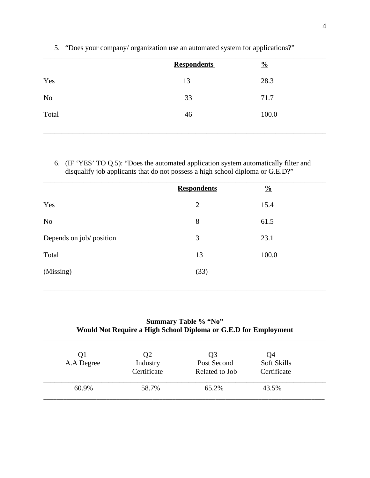|       | <b>Respondents</b> | $\frac{0}{0}$ |
|-------|--------------------|---------------|
| Yes   | 13                 | 28.3          |
| No    | 33                 | 71.7          |
| Total | 46                 | 100.0         |
|       |                    |               |

5. "Does your company/ organization use an automated system for applications?"

6. (IF 'YES' TO Q.5): "Does the automated application system automatically filter and disqualify job applicants that do not possess a high school diploma or G.E.D?"

|                          | <b>Respondents</b> | $\frac{0}{0}$ |
|--------------------------|--------------------|---------------|
| Yes                      | $\overline{2}$     | 15.4          |
| N <sub>o</sub>           | 8                  | 61.5          |
| Depends on job/ position | 3                  | 23.1          |
| Total                    | 13                 | 100.0         |
| (Missing)                | (33)               |               |
|                          |                    |               |

## **Summary Table % "No" Would Not Require a High School Diploma or G.E.D for Employment**

\_\_\_\_\_\_\_\_\_\_\_\_\_\_\_\_\_\_\_\_\_\_\_\_\_\_\_\_\_\_\_\_\_\_\_\_\_\_\_\_\_\_\_\_\_\_\_\_\_\_\_\_\_\_\_\_\_\_\_\_\_\_\_\_\_\_\_\_\_\_\_\_\_\_\_\_\_\_

\_\_\_\_\_\_\_\_\_\_\_\_\_\_\_\_\_\_\_\_\_\_\_\_\_\_\_\_\_\_\_\_\_\_\_\_\_\_\_\_\_\_\_\_\_\_\_\_\_\_\_\_\_\_\_\_\_\_\_\_\_\_\_\_\_\_\_\_\_\_\_\_\_\_\_\_\_\_

| Q1<br>A.A Degree | Q2<br>Industry<br>Certificate | Q <sub>3</sub><br>Post Second<br>Related to Job | Q4<br>Soft Skills<br>Certificate |
|------------------|-------------------------------|-------------------------------------------------|----------------------------------|
| 60.9%            | 58.7%                         | 65.2%                                           | 43.5%                            |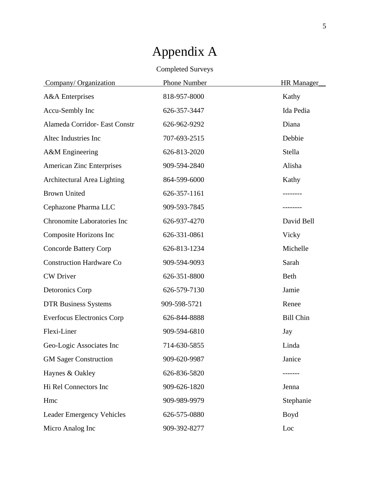| <b>Completed Surveys</b>           |                     |                   |  |  |
|------------------------------------|---------------------|-------------------|--|--|
| Company/Organization               | <b>Phone Number</b> | <b>HR</b> Manager |  |  |
| <b>A&amp;A</b> Enterprises         | 818-957-8000        | Kathy             |  |  |
| Accu-Sembly Inc                    | 626-357-3447        | Ida Pedia         |  |  |
| Alameda Corridor- East Constr      | 626-962-9292        | Diana             |  |  |
| Altec Industries Inc               | 707-693-2515        | Debbie            |  |  |
| A&M Engineering                    | 626-813-2020        | Stella            |  |  |
| <b>American Zinc Enterprises</b>   | 909-594-2840        | Alisha            |  |  |
| <b>Architectural Area Lighting</b> | 864-599-6000        | Kathy             |  |  |
| <b>Brown United</b>                | 626-357-1161        |                   |  |  |
| Cephazone Pharma LLC               | 909-593-7845        |                   |  |  |
| <b>Chronomite Laboratories Inc</b> | 626-937-4270        | David Bell        |  |  |
| Composite Horizons Inc             | 626-331-0861        | Vicky             |  |  |
| <b>Concorde Battery Corp</b>       | 626-813-1234        | Michelle          |  |  |
| <b>Construction Hardware Co</b>    | 909-594-9093        | Sarah             |  |  |
| <b>CW</b> Driver                   | 626-351-8800        | Beth              |  |  |
| Detoronics Corp                    | 626-579-7130        | Jamie             |  |  |
| <b>DTR Business Systems</b>        | 909-598-5721        | Renee             |  |  |
| <b>Everfocus Electronics Corp</b>  | 626-844-8888        | <b>Bill Chin</b>  |  |  |
| Flexi-Liner                        | 909-594-6810        | Jay               |  |  |
| Geo-Logic Associates Inc           | 714-630-5855        | Linda             |  |  |
| <b>GM Sager Construction</b>       | 909-620-9987        | Janice            |  |  |
| Haynes & Oakley                    | 626-836-5820        | ------            |  |  |
| Hi Rel Connectors Inc              | 909-626-1820        | Jenna             |  |  |
| Hmc                                | 909-989-9979        | Stephanie         |  |  |
| <b>Leader Emergency Vehicles</b>   | 626-575-0880        | Boyd              |  |  |
| Micro Analog Inc                   | 909-392-8277        | Loc               |  |  |

# Appendix A